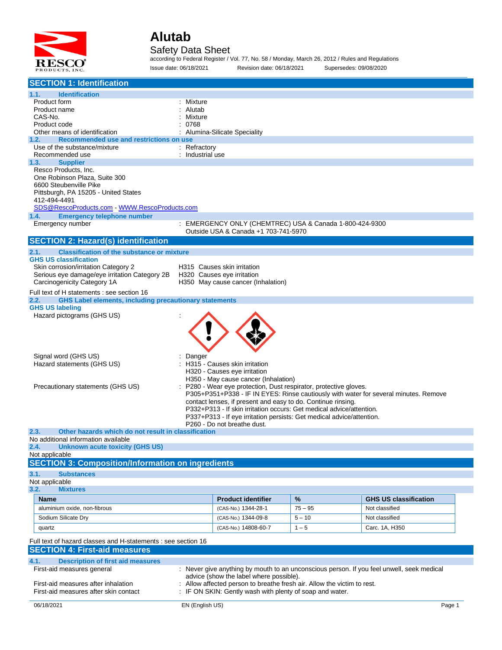

#### Safety Data Sheet

according to Federal Register / Vol. 77, No. 58 / Monday, March 26, 2012 / Rules and Regulations Issue date: 06/18/2021 Revision date: 06/18/2021 Supersedes: 09/08/2020

| <b>SECTION 1: Identification</b>                                                                                    |                                     |                                                                                                         |           |                                                                                           |  |
|---------------------------------------------------------------------------------------------------------------------|-------------------------------------|---------------------------------------------------------------------------------------------------------|-----------|-------------------------------------------------------------------------------------------|--|
| <b>Identification</b><br>1.1.                                                                                       |                                     |                                                                                                         |           |                                                                                           |  |
| Product form                                                                                                        | : Mixture                           |                                                                                                         |           |                                                                                           |  |
| Product name                                                                                                        | Alutab                              |                                                                                                         |           |                                                                                           |  |
| CAS-No.                                                                                                             | Mixture                             |                                                                                                         |           |                                                                                           |  |
| Product code<br>Other means of identification                                                                       | 0768<br>Alumina-Silicate Speciality |                                                                                                         |           |                                                                                           |  |
| Recommended use and restrictions on use<br>1.2.                                                                     |                                     |                                                                                                         |           |                                                                                           |  |
| Use of the substance/mixture                                                                                        | $:$ Refractory                      |                                                                                                         |           |                                                                                           |  |
| Recommended use                                                                                                     | : Industrial use                    |                                                                                                         |           |                                                                                           |  |
| <b>Supplier</b><br>1.3.                                                                                             |                                     |                                                                                                         |           |                                                                                           |  |
| Resco Products, Inc.                                                                                                |                                     |                                                                                                         |           |                                                                                           |  |
| One Robinson Plaza, Suite 300                                                                                       |                                     |                                                                                                         |           |                                                                                           |  |
| 6600 Steubenville Pike<br>Pittsburgh, PA 15205 - United States                                                      |                                     |                                                                                                         |           |                                                                                           |  |
| 412-494-4491                                                                                                        |                                     |                                                                                                         |           |                                                                                           |  |
| SDS@RescoProducts.com WWW.RescoProducts.com                                                                         |                                     |                                                                                                         |           |                                                                                           |  |
| <b>Emergency telephone number</b><br>1.4.                                                                           |                                     |                                                                                                         |           |                                                                                           |  |
| Emergency number                                                                                                    |                                     | : EMERGENCY ONLY (CHEMTREC) USA & Canada 1-800-424-9300                                                 |           |                                                                                           |  |
|                                                                                                                     |                                     | Outside USA & Canada +1 703-741-5970                                                                    |           |                                                                                           |  |
| <b>SECTION 2: Hazard(s) identification</b>                                                                          |                                     |                                                                                                         |           |                                                                                           |  |
| 2.1.<br><b>Classification of the substance or mixture</b>                                                           |                                     |                                                                                                         |           |                                                                                           |  |
| <b>GHS US classification</b>                                                                                        |                                     |                                                                                                         |           |                                                                                           |  |
| Skin corrosion/irritation Category 2                                                                                |                                     | H315 Causes skin irritation                                                                             |           |                                                                                           |  |
| Serious eye damage/eye irritation Category 2B<br>Carcinogenicity Category 1A                                        |                                     | H320 Causes eye irritation<br>H350 May cause cancer (Inhalation)                                        |           |                                                                                           |  |
|                                                                                                                     |                                     |                                                                                                         |           |                                                                                           |  |
| Full text of H statements : see section 16<br><b>GHS Label elements, including precautionary statements</b><br>2.2. |                                     |                                                                                                         |           |                                                                                           |  |
| <b>GHS US labeling</b>                                                                                              |                                     |                                                                                                         |           |                                                                                           |  |
| Hazard pictograms (GHS US)                                                                                          |                                     |                                                                                                         |           |                                                                                           |  |
|                                                                                                                     |                                     |                                                                                                         |           |                                                                                           |  |
|                                                                                                                     |                                     |                                                                                                         |           |                                                                                           |  |
|                                                                                                                     |                                     |                                                                                                         |           |                                                                                           |  |
|                                                                                                                     |                                     |                                                                                                         |           |                                                                                           |  |
| Signal word (GHS US)                                                                                                | Danger                              |                                                                                                         |           |                                                                                           |  |
| Hazard statements (GHS US)                                                                                          |                                     | : H315 - Causes skin irritation                                                                         |           |                                                                                           |  |
|                                                                                                                     |                                     | H320 - Causes eye irritation                                                                            |           |                                                                                           |  |
| Precautionary statements (GHS US)                                                                                   |                                     | H350 - May cause cancer (Inhalation)<br>P280 - Wear eye protection, Dust respirator, protective gloves. |           |                                                                                           |  |
|                                                                                                                     |                                     |                                                                                                         |           | P305+P351+P338 - IF IN EYES: Rinse cautiously with water for several minutes. Remove      |  |
|                                                                                                                     |                                     | contact lenses, if present and easy to do. Continue rinsing.                                            |           |                                                                                           |  |
|                                                                                                                     |                                     | P332+P313 - If skin irritation occurs: Get medical advice/attention.                                    |           |                                                                                           |  |
|                                                                                                                     |                                     | P337+P313 - If eye irritation persists: Get medical advice/attention.                                   |           |                                                                                           |  |
|                                                                                                                     |                                     | P260 - Do not breathe dust.                                                                             |           |                                                                                           |  |
| Other hazards which do not result in classification<br>2.3.<br>No additional information available                  |                                     |                                                                                                         |           |                                                                                           |  |
| 2.4.<br><b>Unknown acute toxicity (GHS US)</b>                                                                      |                                     |                                                                                                         |           |                                                                                           |  |
| Not applicable                                                                                                      |                                     |                                                                                                         |           |                                                                                           |  |
| <b>SECTION 3: Composition/Information on ingredients</b>                                                            |                                     |                                                                                                         |           |                                                                                           |  |
| 3.1.<br><b>Substances</b>                                                                                           |                                     |                                                                                                         |           |                                                                                           |  |
| Not applicable                                                                                                      |                                     |                                                                                                         |           |                                                                                           |  |
| 3.2.<br><b>Mixtures</b>                                                                                             |                                     |                                                                                                         |           |                                                                                           |  |
| <b>Name</b>                                                                                                         |                                     | <b>Product identifier</b>                                                                               | %         | <b>GHS US classification</b>                                                              |  |
| aluminium oxide, non-fibrous                                                                                        |                                     | (CAS-No.) 1344-28-1                                                                                     | $75 - 95$ | Not classified                                                                            |  |
|                                                                                                                     |                                     |                                                                                                         |           |                                                                                           |  |
| Sodium Silicate Dry                                                                                                 |                                     | (CAS-No.) 1344-09-8                                                                                     | $5 - 10$  | Not classified                                                                            |  |
| quartz                                                                                                              |                                     | (CAS-No.) 14808-60-7                                                                                    | $1 - 5$   | Carc. 1A, H350                                                                            |  |
| Full text of hazard classes and H-statements : see section 16                                                       |                                     |                                                                                                         |           |                                                                                           |  |
| <b>SECTION 4: First-aid measures</b>                                                                                |                                     |                                                                                                         |           |                                                                                           |  |
| 4.1.<br><b>Description of first aid measures</b>                                                                    |                                     |                                                                                                         |           |                                                                                           |  |
| First-aid measures general                                                                                          |                                     |                                                                                                         |           | : Never give anything by mouth to an unconscious person. If you feel unwell, seek medical |  |
| advice (show the label where possible).                                                                             |                                     |                                                                                                         |           |                                                                                           |  |
| First-aid measures after inhalation                                                                                 |                                     | Allow affected person to breathe fresh air. Allow the victim to rest.                                   |           |                                                                                           |  |
| First-aid measures after skin contact                                                                               |                                     | IF ON SKIN: Gently wash with plenty of soap and water.                                                  |           |                                                                                           |  |
| 06/18/2021                                                                                                          | EN (English US)                     |                                                                                                         |           | Page 1                                                                                    |  |
|                                                                                                                     |                                     |                                                                                                         |           |                                                                                           |  |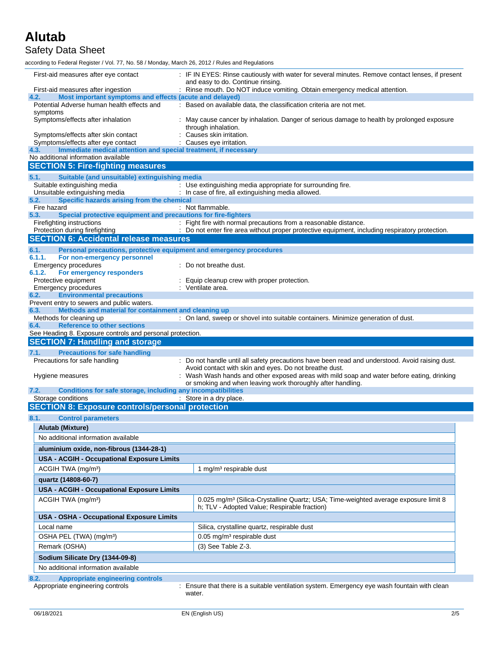### Safety Data Sheet

according to Federal Register / Vol. 77, No. 58 / Monday, March 26, 2012 / Rules and Regulations

| First-aid measures after eye contact                                                                           | : IF IN EYES: Rinse cautiously with water for several minutes. Remove contact lenses, if present<br>and easy to do. Continue rinsing.           |
|----------------------------------------------------------------------------------------------------------------|-------------------------------------------------------------------------------------------------------------------------------------------------|
| First-aid measures after ingestion                                                                             | : Rinse mouth. Do NOT induce vomiting. Obtain emergency medical attention.                                                                      |
| Most important symptoms and effects (acute and delayed)<br>4.2.<br>Potential Adverse human health effects and  | : Based on available data, the classification criteria are not met.                                                                             |
| symptoms<br>Symptoms/effects after inhalation                                                                  | : May cause cancer by inhalation. Danger of serious damage to health by prolonged exposure<br>through inhalation.                               |
| Symptoms/effects after skin contact                                                                            | : Causes skin irritation.                                                                                                                       |
| Symptoms/effects after eye contact                                                                             | : Causes eye irritation.                                                                                                                        |
| Immediate medical attention and special treatment, if necessary<br>4.3.<br>No additional information available |                                                                                                                                                 |
| <b>SECTION 5: Fire-fighting measures</b>                                                                       |                                                                                                                                                 |
|                                                                                                                |                                                                                                                                                 |
| 5.1.<br>Suitable (and unsuitable) extinguishing media<br>Suitable extinguishing media                          | : Use extinguishing media appropriate for surrounding fire.                                                                                     |
| Unsuitable extinguishing media                                                                                 | : In case of fire, all extinguishing media allowed.                                                                                             |
| 5.2.<br>Specific hazards arising from the chemical                                                             |                                                                                                                                                 |
| Fire hazard                                                                                                    | : Not flammable.                                                                                                                                |
| Special protective equipment and precautions for fire-fighters<br>5.3.<br>Firefighting instructions            | : Fight fire with normal precautions from a reasonable distance.                                                                                |
| Protection during firefighting                                                                                 | : Do not enter fire area without proper protective equipment, including respiratory protection.                                                 |
| <b>SECTION 6: Accidental release measures</b>                                                                  |                                                                                                                                                 |
| 6.1.<br>Personal precautions, protective equipment and emergency procedures                                    |                                                                                                                                                 |
| 6.1.1.<br>For non-emergency personnel                                                                          |                                                                                                                                                 |
| Emergency procedures                                                                                           | : Do not breathe dust.                                                                                                                          |
| 6.1.2.<br>For emergency responders<br>Protective equipment                                                     | Equip cleanup crew with proper protection.                                                                                                      |
| <b>Emergency procedures</b>                                                                                    | : Ventilate area.                                                                                                                               |
| <b>Environmental precautions</b><br>6.2.                                                                       |                                                                                                                                                 |
| Prevent entry to sewers and public waters.                                                                     |                                                                                                                                                 |
| Methods and material for containment and cleaning up<br>6.3.<br>Methods for cleaning up                        | : On land, sweep or shovel into suitable containers. Minimize generation of dust.                                                               |
| <b>Reference to other sections</b><br>6.4.                                                                     |                                                                                                                                                 |
| See Heading 8. Exposure controls and personal protection.                                                      |                                                                                                                                                 |
|                                                                                                                |                                                                                                                                                 |
| <b>SECTION 7: Handling and storage</b>                                                                         |                                                                                                                                                 |
| 7.1.<br><b>Precautions for safe handling</b>                                                                   |                                                                                                                                                 |
| Precautions for safe handling                                                                                  | : Do not handle until all safety precautions have been read and understood. Avoid raising dust.                                                 |
|                                                                                                                | Avoid contact with skin and eyes. Do not breathe dust.                                                                                          |
| Hygiene measures                                                                                               | : Wash Wash hands and other exposed areas with mild soap and water before eating, drinking                                                      |
| Conditions for safe storage, including any incompatibilities<br>7.2.                                           | or smoking and when leaving work thoroughly after handling.                                                                                     |
| Storage conditions                                                                                             | : Store in a dry place.                                                                                                                         |
| <b>SECTION 8: Exposure controls/personal protection</b>                                                        |                                                                                                                                                 |
| 8.1.<br><b>Control parameters</b>                                                                              |                                                                                                                                                 |
| Alutab (Mixture)                                                                                               |                                                                                                                                                 |
| No additional information available                                                                            |                                                                                                                                                 |
|                                                                                                                |                                                                                                                                                 |
| aluminium oxide, non-fibrous (1344-28-1)                                                                       |                                                                                                                                                 |
| <b>USA - ACGIH - Occupational Exposure Limits</b>                                                              |                                                                                                                                                 |
| ACGIH TWA (mg/m <sup>3</sup> )                                                                                 | 1 mg/m <sup>3</sup> respirable dust                                                                                                             |
| quartz (14808-60-7)                                                                                            |                                                                                                                                                 |
| USA - ACGIH - Occupational Exposure Limits                                                                     |                                                                                                                                                 |
| ACGIH TWA (mg/m <sup>3</sup> )                                                                                 | 0.025 mg/m <sup>3</sup> (Silica-Crystalline Quartz; USA; Time-weighted average exposure limit 8<br>h; TLV - Adopted Value; Respirable fraction) |
| <b>USA - OSHA - Occupational Exposure Limits</b>                                                               |                                                                                                                                                 |
| Local name                                                                                                     | Silica, crystalline quartz, respirable dust                                                                                                     |
| OSHA PEL (TWA) (mg/m <sup>3</sup> )                                                                            | 0.05 mg/m <sup>3</sup> respirable dust                                                                                                          |
| Remark (OSHA)                                                                                                  | (3) See Table Z-3.                                                                                                                              |
|                                                                                                                |                                                                                                                                                 |
| Sodium Silicate Dry (1344-09-8)                                                                                |                                                                                                                                                 |
| No additional information available                                                                            |                                                                                                                                                 |
| <b>Appropriate engineering controls</b><br>8.2.<br>Appropriate engineering controls                            | : Ensure that there is a suitable ventilation system. Emergency eye wash fountain with clean<br>water.                                          |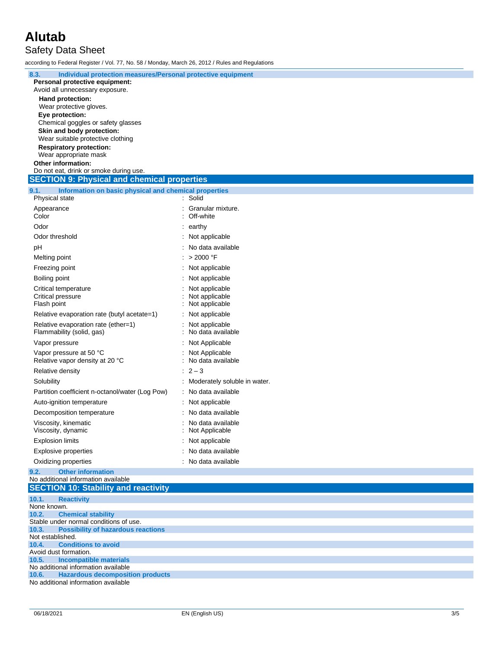### **Alutab** Safety Data Sheet

according to Federal Register / Vol. 77, No. 58 / Monday, March 26, 2012 / Rules and Regulations

| 8.3.<br>Individual protection measures/Personal protective equipment |                                |
|----------------------------------------------------------------------|--------------------------------|
| Personal protective equipment:                                       |                                |
| Avoid all unnecessary exposure.                                      |                                |
| Hand protection:                                                     |                                |
| Wear protective gloves.                                              |                                |
| Eye protection:                                                      |                                |
| Chemical goggles or safety glasses                                   |                                |
| Skin and body protection:                                            |                                |
| Wear suitable protective clothing                                    |                                |
| <b>Respiratory protection:</b>                                       |                                |
| Wear appropriate mask                                                |                                |
| Other information:                                                   |                                |
| Do not eat, drink or smoke during use.                               |                                |
| <b>SECTION 9: Physical and chemical properties</b>                   |                                |
| Information on basic physical and chemical properties<br>9.1.        |                                |
| Physical state                                                       | : Solid                        |
| Appearance                                                           | : Granular mixture.            |
| Color                                                                | Off-white                      |
| Odor                                                                 | $:$ earthy                     |
| Odor threshold                                                       | : Not applicable               |
| рH                                                                   | : No data available            |
|                                                                      | : > 2000 °F                    |
| Melting point                                                        |                                |
| Freezing point                                                       | : Not applicable               |
| Boiling point                                                        | Not applicable                 |
| Critical temperature                                                 | Not applicable                 |
| Critical pressure                                                    | Not applicable                 |
| Flash point                                                          | Not applicable                 |
| Relative evaporation rate (butyl acetate=1)                          | : Not applicable               |
| Relative evaporation rate (ether=1)                                  | Not applicable                 |
| Flammability (solid, gas)                                            | No data available              |
| Vapor pressure                                                       | Not Applicable                 |
| Vapor pressure at 50 °C                                              | Not Applicable                 |
| Relative vapor density at 20 °C                                      | No data available              |
| <b>Relative density</b>                                              | $: 2 - 3$                      |
| Solubility                                                           | : Moderately soluble in water. |
|                                                                      |                                |
| Partition coefficient n-octanol/water (Log Pow)                      | : No data available            |
| Auto-ignition temperature                                            | : Not applicable               |
| Decomposition temperature                                            | No data available              |
| Viscosity, kinematic                                                 | No data available              |
| Viscosity, dynamic                                                   | Not Applicable                 |
| <b>Explosion limits</b>                                              | : Not applicable               |
| <b>Explosive properties</b>                                          | No data available              |
| Oxidizing properties                                                 | : No data available            |
| <b>Other information</b><br>9.2.                                     |                                |
| No additional information available                                  |                                |
| <b>SECTION 10: Stability and reactivity</b>                          |                                |
| 10.1.<br><b>Reactivity</b>                                           |                                |
| None known.                                                          |                                |
| 10.2.<br><b>Chemical stability</b>                                   |                                |
| Stable under normal conditions of use.                               |                                |
| <b>Possibility of hazardous reactions</b><br>10.3.                   |                                |
| Not established.                                                     |                                |
| <b>Conditions to avoid</b><br>10.4.<br>Avoid dust formation.         |                                |
| <b>Incompatible materials</b><br>10.5.                               |                                |
| No additional information available                                  |                                |
| <b>Hazardous decomposition products</b><br>10.6.                     |                                |
| No additional information available                                  |                                |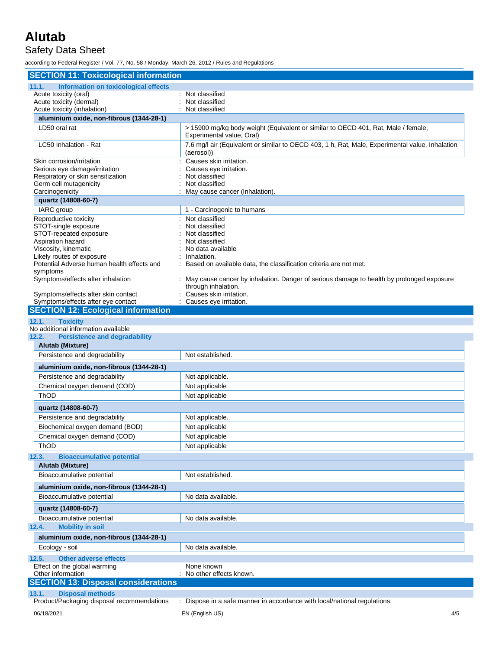### Safety Data Sheet

according to Federal Register / Vol. 77, No. 58 / Monday, March 26, 2012 / Rules and Regulations

| <b>SECTION 11: Toxicological information</b>                                         |                                                                                                                |
|--------------------------------------------------------------------------------------|----------------------------------------------------------------------------------------------------------------|
| Information on toxicological effects<br>11.1.                                        |                                                                                                                |
| Acute toxicity (oral)                                                                | : Not classified                                                                                               |
| Acute toxicity (dermal)                                                              | Not classified                                                                                                 |
| Acute toxicity (inhalation)                                                          | Not classified                                                                                                 |
| aluminium oxide, non-fibrous (1344-28-1)                                             |                                                                                                                |
| LD50 oral rat                                                                        | > 15900 mg/kg body weight (Equivalent or similar to OECD 401, Rat, Male / female,<br>Experimental value, Oral) |
| LC50 Inhalation - Rat                                                                | 7.6 mg/l air (Equivalent or similar to OECD 403, 1 h, Rat, Male, Experimental value, Inhalation<br>(aerosol))  |
| Skin corrosion/irritation                                                            | Causes skin irritation.                                                                                        |
| Serious eye damage/irritation                                                        | Causes eye irritation.<br>Not classified                                                                       |
| Respiratory or skin sensitization<br>Germ cell mutagenicity                          | Not classified                                                                                                 |
| Carcinogenicity                                                                      | May cause cancer (Inhalation).                                                                                 |
| quartz (14808-60-7)                                                                  |                                                                                                                |
| IARC group                                                                           | 1 - Carcinogenic to humans                                                                                     |
| Reproductive toxicity                                                                | : Not classified                                                                                               |
| STOT-single exposure                                                                 | Not classified                                                                                                 |
| STOT-repeated exposure                                                               | Not classified                                                                                                 |
| Aspiration hazard                                                                    | Not classified                                                                                                 |
| Viscosity, kinematic                                                                 | No data available<br>Inhalation.                                                                               |
| Likely routes of exposure<br>Potential Adverse human health effects and              | Based on available data, the classification criteria are not met.                                              |
| symptoms                                                                             |                                                                                                                |
| Symptoms/effects after inhalation                                                    | : May cause cancer by inhalation. Danger of serious damage to health by prolonged exposure                     |
|                                                                                      | through inhalation.                                                                                            |
| Symptoms/effects after skin contact                                                  | Causes skin irritation.                                                                                        |
| Symptoms/effects after eye contact<br><b>SECTION 12: Ecological information</b>      | Causes eye irritation.                                                                                         |
|                                                                                      |                                                                                                                |
| 12.1.<br><b>Toxicity</b>                                                             |                                                                                                                |
| No additional information available<br><b>Persistence and degradability</b><br>12.2. |                                                                                                                |
| Alutab (Mixture)                                                                     |                                                                                                                |
| Persistence and degradability                                                        | Not established.                                                                                               |
| aluminium oxide, non-fibrous (1344-28-1)                                             |                                                                                                                |
| Persistence and degradability                                                        | Not applicable.                                                                                                |
| Chemical oxygen demand (COD)                                                         | Not applicable                                                                                                 |
| <b>ThOD</b>                                                                          | Not applicable                                                                                                 |
|                                                                                      |                                                                                                                |
| quartz (14808-60-7)                                                                  |                                                                                                                |
| Persistence and degradability                                                        | Not applicable.                                                                                                |
| Biochemical oxygen demand (BOD)                                                      | Not applicable                                                                                                 |
| Chemical oxygen demand (COD)                                                         | Not applicable                                                                                                 |
| ThOD                                                                                 | Not applicable                                                                                                 |
| 12.3.<br><b>Bioaccumulative potential</b>                                            |                                                                                                                |
| Alutab (Mixture)                                                                     |                                                                                                                |
| Bioaccumulative potential                                                            | Not established.                                                                                               |
| aluminium oxide, non-fibrous (1344-28-1)                                             |                                                                                                                |
| Bioaccumulative potential                                                            | No data available.                                                                                             |
| quartz (14808-60-7)                                                                  |                                                                                                                |
| Bioaccumulative potential                                                            | No data available.                                                                                             |
| <b>Mobility in soil</b><br>12.4.                                                     |                                                                                                                |
| aluminium oxide, non-fibrous (1344-28-1)                                             |                                                                                                                |
| Ecology - soil                                                                       | No data available.                                                                                             |
| 12.5.<br><b>Other adverse effects</b>                                                |                                                                                                                |
| Effect on the global warming                                                         | None known                                                                                                     |
| Other information                                                                    | No other effects known.                                                                                        |
| <b>SECTION 13: Disposal considerations</b>                                           |                                                                                                                |
| 13.1.<br><b>Disposal methods</b>                                                     |                                                                                                                |
| Product/Packaging disposal recommendations                                           | : Dispose in a safe manner in accordance with local/national regulations.                                      |